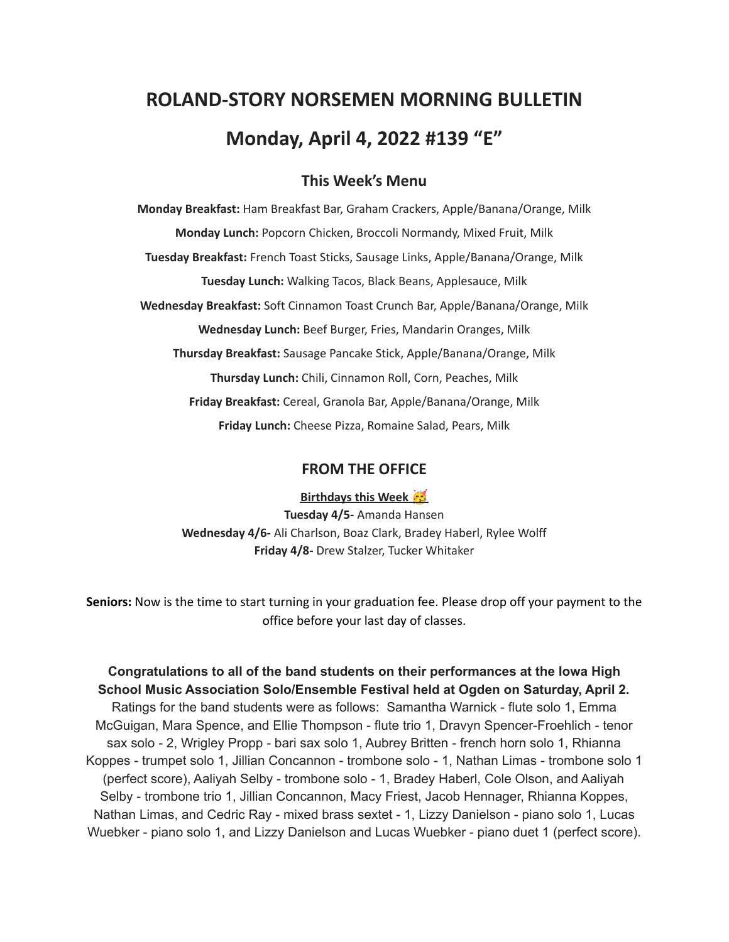# **ROLAND-STORY NORSEMEN MORNING BULLETIN Monday, April 4, 2022 #139 "E"**

## **This Week's Menu**

**Monday Breakfast:** Ham Breakfast Bar, Graham Crackers, Apple/Banana/Orange, Milk **Monday Lunch:** Popcorn Chicken, Broccoli Normandy, Mixed Fruit, Milk **Tuesday Breakfast:** French Toast Sticks, Sausage Links, Apple/Banana/Orange, Milk **Tuesday Lunch:** Walking Tacos, Black Beans, Applesauce, Milk **Wednesday Breakfast:** Soft Cinnamon Toast Crunch Bar, Apple/Banana/Orange, Milk **Wednesday Lunch:** Beef Burger, Fries, Mandarin Oranges, Milk **Thursday Breakfast:** Sausage Pancake Stick, Apple/Banana/Orange, Milk **Thursday Lunch:** Chili, Cinnamon Roll, Corn, Peaches, Milk **Friday Breakfast:** Cereal, Granola Bar, Apple/Banana/Orange, Milk **Friday Lunch:** Cheese Pizza, Romaine Salad, Pears, Milk

#### **FROM THE OFFICE**

**Birthdays this Week Tuesday 4/5-** Amanda Hansen **Wednesday 4/6-** Ali Charlson, Boaz Clark, Bradey Haberl, Rylee Wolff **Friday 4/8-** Drew Stalzer, Tucker Whitaker

**Seniors:** Now is the time to start turning in your graduation fee. Please drop off your payment to the office before your last day of classes.

**Congratulations to all of the band students on their performances at the Iowa High School Music Association Solo/Ensemble Festival held at Ogden on Saturday, April 2.** Ratings for the band students were as follows: Samantha Warnick - flute solo 1, Emma McGuigan, Mara Spence, and Ellie Thompson - flute trio 1, Dravyn Spencer-Froehlich - tenor sax solo - 2, Wrigley Propp - bari sax solo 1, Aubrey Britten - french horn solo 1, Rhianna Koppes - trumpet solo 1, Jillian Concannon - trombone solo - 1, Nathan Limas - trombone solo 1 (perfect score), Aaliyah Selby - trombone solo - 1, Bradey Haberl, Cole Olson, and Aaliyah Selby - trombone trio 1, Jillian Concannon, Macy Friest, Jacob Hennager, Rhianna Koppes, Nathan Limas, and Cedric Ray - mixed brass sextet - 1, Lizzy Danielson - piano solo 1, Lucas Wuebker - piano solo 1, and Lizzy Danielson and Lucas Wuebker - piano duet 1 (perfect score).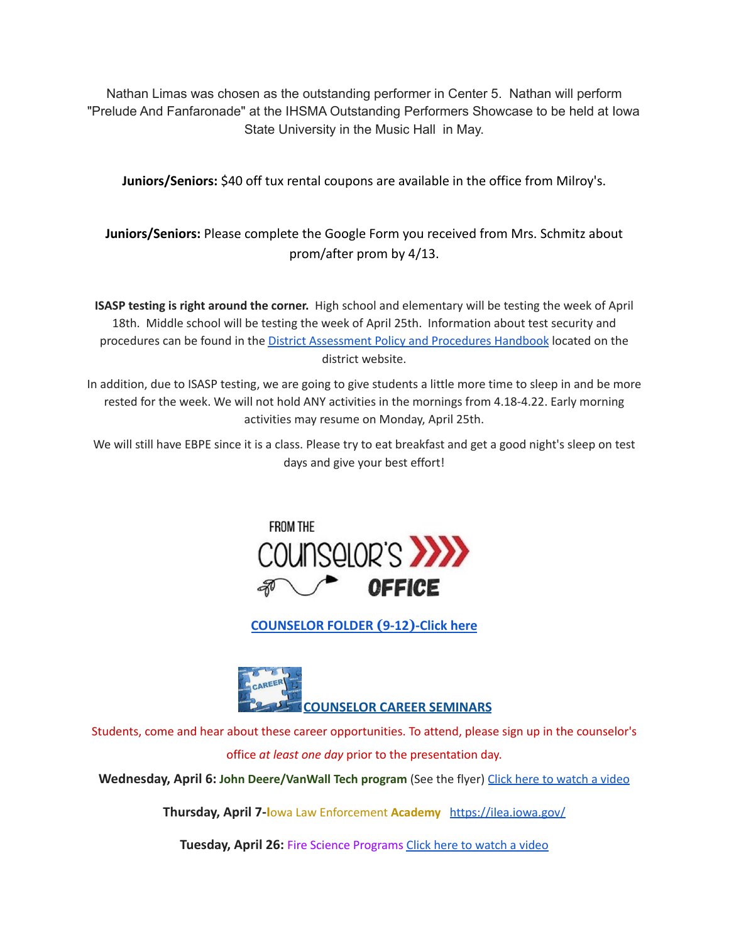Nathan Limas was chosen as the outstanding performer in Center 5. Nathan will perform "Prelude And Fanfaronade" at the IHSMA Outstanding Performers Showcase to be held at Iowa State University in the Music Hall in May.

**Juniors/Seniors:** \$40 off tux rental coupons are available in the office from Milroy's.

**Juniors/Seniors:** Please complete the Google Form you received from Mrs. Schmitz about prom/after prom by 4/13.

**ISASP testing is right around the corner.** High school and elementary will be testing the week of April 18th. Middle school will be testing the week of April 25th. Information about test security and procedures can be found in the District [Assessment](https://rolandstory.school/media/Michelle%20Soderstrum/RSCSD_District_Assessment_Poli%20-%20Copy%203.pdf) Policy and Procedures Handbook located on the district website.

In addition, due to ISASP testing, we are going to give students a little more time to sleep in and be more rested for the week. We will not hold ANY activities in the mornings from 4.18-4.22. Early morning activities may resume on Monday, April 25th.

We will still have EBPE since it is a class. Please try to eat breakfast and get a good night's sleep on test days and give your best effort!



**[COUNSELOR FOLDER](https://docs.google.com/document/d/1vmwczNPbDzXe9vFaG5LJMQ7NYDv-i4oQJHybqA65TUc/edit?usp=sharing) (9-12)-Click here**



Students, come and hear about these career opportunities. To attend, please sign up in the counselor's office *at least one day* prior to the presentation day.

**Wednesday, April 6: John Deere/VanWall Tech program** (See the flyer) Click here to [watch](https://www.youtube.com/watch?v=h0zPXGK_n_c) a video

**Thursday, April 7-I**owa Law Enforcement **Academy** <https://ilea.iowa.gov/>

**Tuesday, April 26:** Fire Science Programs Click here to [watch](https://www.youtube.com/watch?v=xBXR6h_2eWg) a video